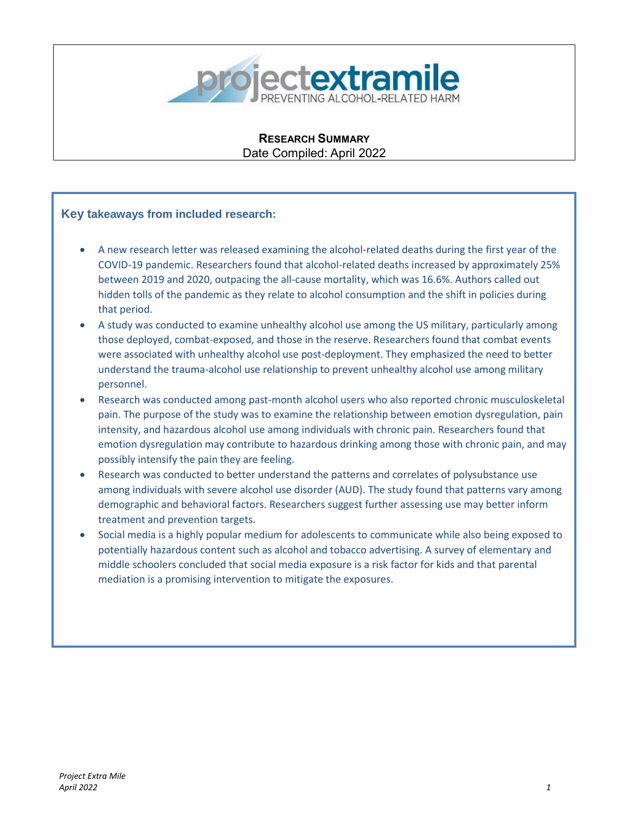

**RESEARCH SUMMARY** Date Compiled: April 2022

# **Key takeaways from included research:**

- A new research letter was released examining the alcohol-related deaths during the first year of the COVID-19 pandemic. Researchers found that alcohol-related deaths increased by approximately 25% between 2019 and 2020, outpacing the all-cause mortality, which was 16.6%. Authors called out hidden tolls of the pandemic as they relate to alcohol consumption and the shift in policies during that period.
- A study was conducted to examine unhealthy alcohol use among the US military, particularly among those deployed, combat-exposed, and those in the reserve. Researchers found that combat events were associated with unhealthy alcohol use post-deployment. They emphasized the need to better understand the trauma-alcohol use relationship to prevent unhealthy alcohol use among military personnel.
- Research was conducted among past-month alcohol users who also reported chronic musculoskeletal pain. The purpose of the study was to examine the relationship between emotion dysregulation, pain intensity, and hazardous alcohol use among individuals with chronic pain. Researchers found that emotion dysregulation may contribute to hazardous drinking among those with chronic pain, and may possibly intensify the pain they are feeling.
- Research was conducted to better understand the patterns and correlates of polysubstance use among individuals with severe alcohol use disorder (AUD). The study found that patterns vary among demographic and behavioral factors. Researchers suggest further assessing use may better inform treatment and prevention targets.
- Social media is a highly popular medium for adolescents to communicate while also being exposed to potentially hazardous content such as alcohol and tobacco advertising. A survey of elementary and middle schoolers concluded that social media exposure is a risk factor for kids and that parental mediation is a promising intervention to mitigate the exposures.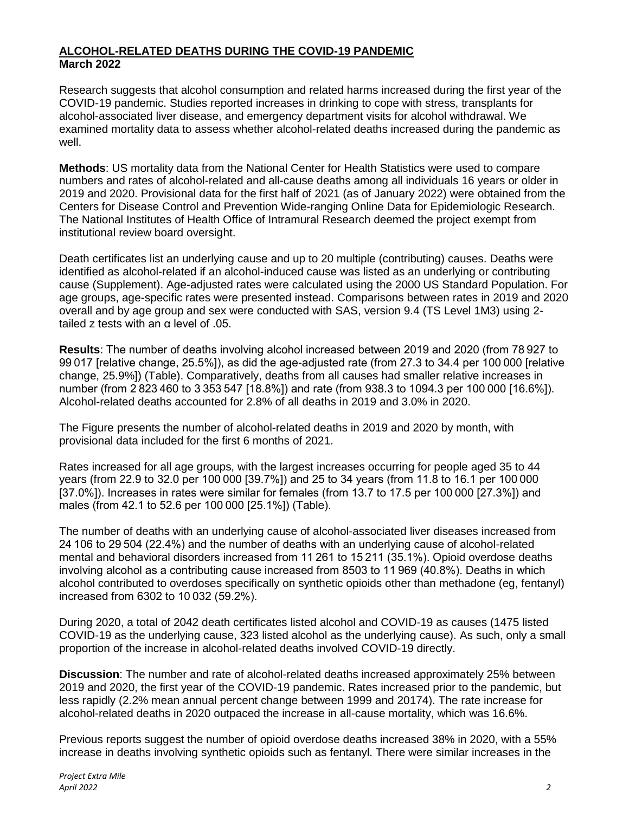# **ALCOHOL-RELATED DEATHS DURING THE COVID-19 PANDEMIC March 2022**

Research suggests that alcohol consumption and related harms increased during the first year of the COVID-19 pandemic. Studies reported increases in drinking to cope with stress, transplants for alcohol-associated liver disease, and emergency department visits for alcohol withdrawal. We examined mortality data to assess whether alcohol-related deaths increased during the pandemic as well.

**Methods**: US mortality data from the National Center for Health Statistics were used to compare numbers and rates of alcohol-related and all-cause deaths among all individuals 16 years or older in 2019 and 2020. Provisional data for the first half of 2021 (as of January 2022) were obtained from the Centers for Disease Control and Prevention Wide-ranging Online Data for Epidemiologic Research. The National Institutes of Health Office of Intramural Research deemed the project exempt from institutional review board oversight.

Death certificates list an underlying cause and up to 20 multiple (contributing) causes. Deaths were identified as alcohol-related if an alcohol-induced cause was listed as an underlying or contributing cause (Supplement). Age-adjusted rates were calculated using the 2000 US Standard Population. For age groups, age-specific rates were presented instead. Comparisons between rates in 2019 and 2020 overall and by age group and sex were conducted with SAS, version 9.4 (TS Level 1M3) using 2 tailed z tests with an α level of .05.

**Results**: The number of deaths involving alcohol increased between 2019 and 2020 (from 78 927 to 99 017 [relative change, 25.5%]), as did the age-adjusted rate (from 27.3 to 34.4 per 100 000 [relative change, 25.9%]) (Table). Comparatively, deaths from all causes had smaller relative increases in number (from 2 823 460 to 3 353 547 [18.8%]) and rate (from 938.3 to 1094.3 per 100 000 [16.6%]). Alcohol-related deaths accounted for 2.8% of all deaths in 2019 and 3.0% in 2020.

The Figure presents the number of alcohol-related deaths in 2019 and 2020 by month, with provisional data included for the first 6 months of 2021.

Rates increased for all age groups, with the largest increases occurring for people aged 35 to 44 years (from 22.9 to 32.0 per 100 000 [39.7%]) and 25 to 34 years (from 11.8 to 16.1 per 100 000 [37.0%]). Increases in rates were similar for females (from 13.7 to 17.5 per 100 000 [27.3%]) and males (from 42.1 to 52.6 per 100 000 [25.1%]) (Table).

The number of deaths with an underlying cause of alcohol-associated liver diseases increased from 24 106 to 29 504 (22.4%) and the number of deaths with an underlying cause of alcohol-related mental and behavioral disorders increased from 11 261 to 15 211 (35.1%). Opioid overdose deaths involving alcohol as a contributing cause increased from 8503 to 11 969 (40.8%). Deaths in which alcohol contributed to overdoses specifically on synthetic opioids other than methadone (eg, fentanyl) increased from 6302 to 10 032 (59.2%).

During 2020, a total of 2042 death certificates listed alcohol and COVID-19 as causes (1475 listed COVID-19 as the underlying cause, 323 listed alcohol as the underlying cause). As such, only a small proportion of the increase in alcohol-related deaths involved COVID-19 directly.

**Discussion**: The number and rate of alcohol-related deaths increased approximately 25% between 2019 and 2020, the first year of the COVID-19 pandemic. Rates increased prior to the pandemic, but less rapidly (2.2% mean annual percent change between 1999 and 20174). The rate increase for alcohol-related deaths in 2020 outpaced the increase in all-cause mortality, which was 16.6%.

Previous reports suggest the number of opioid overdose deaths increased 38% in 2020, with a 55% increase in deaths involving synthetic opioids such as fentanyl. There were similar increases in the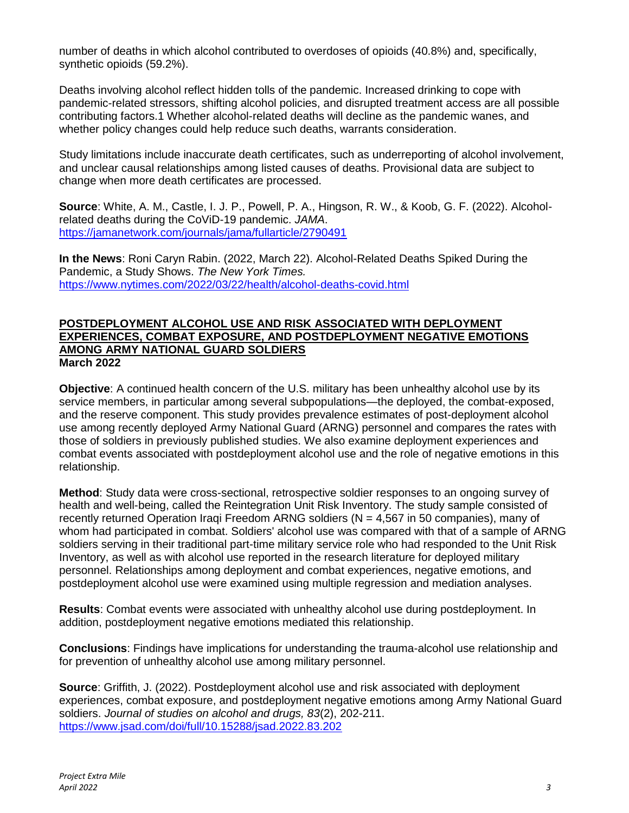number of deaths in which alcohol contributed to overdoses of opioids (40.8%) and, specifically, synthetic opioids (59.2%).

Deaths involving alcohol reflect hidden tolls of the pandemic. Increased drinking to cope with pandemic-related stressors, shifting alcohol policies, and disrupted treatment access are all possible contributing factors.1 Whether alcohol-related deaths will decline as the pandemic wanes, and whether policy changes could help reduce such deaths, warrants consideration.

Study limitations include inaccurate death certificates, such as underreporting of alcohol involvement, and unclear causal relationships among listed causes of deaths. Provisional data are subject to change when more death certificates are processed.

**Source**: White, A. M., Castle, I. J. P., Powell, P. A., Hingson, R. W., & Koob, G. F. (2022). Alcoholrelated deaths during the CoViD-19 pandemic. *JAMA*. <https://jamanetwork.com/journals/jama/fullarticle/2790491>

**In the News**: Roni Caryn Rabin. (2022, March 22). Alcohol-Related Deaths Spiked During the Pandemic, a Study Shows. *The New York Times.* <https://www.nytimes.com/2022/03/22/health/alcohol-deaths-covid.html>

# **POSTDEPLOYMENT ALCOHOL USE AND RISK ASSOCIATED WITH DEPLOYMENT EXPERIENCES, COMBAT EXPOSURE, AND POSTDEPLOYMENT NEGATIVE EMOTIONS AMONG ARMY NATIONAL GUARD SOLDIERS March 2022**

**Objective**: A continued health concern of the U.S. military has been unhealthy alcohol use by its service members, in particular among several subpopulations—the deployed, the combat-exposed, and the reserve component. This study provides prevalence estimates of post-deployment alcohol use among recently deployed Army National Guard (ARNG) personnel and compares the rates with those of soldiers in previously published studies. We also examine deployment experiences and combat events associated with postdeployment alcohol use and the role of negative emotions in this relationship.

**Method**: Study data were cross-sectional, retrospective soldier responses to an ongoing survey of health and well-being, called the Reintegration Unit Risk Inventory. The study sample consisted of recently returned Operation Iraqi Freedom ARNG soldiers ( $N = 4,567$  in 50 companies), many of whom had participated in combat. Soldiers' alcohol use was compared with that of a sample of ARNG soldiers serving in their traditional part-time military service role who had responded to the Unit Risk Inventory, as well as with alcohol use reported in the research literature for deployed military personnel. Relationships among deployment and combat experiences, negative emotions, and postdeployment alcohol use were examined using multiple regression and mediation analyses.

**Results**: Combat events were associated with unhealthy alcohol use during postdeployment. In addition, postdeployment negative emotions mediated this relationship.

**Conclusions**: Findings have implications for understanding the trauma-alcohol use relationship and for prevention of unhealthy alcohol use among military personnel.

**Source**: Griffith, J. (2022). Postdeployment alcohol use and risk associated with deployment experiences, combat exposure, and postdeployment negative emotions among Army National Guard soldiers. *Journal of studies on alcohol and drugs, 83*(2), 202-211. <https://www.jsad.com/doi/full/10.15288/jsad.2022.83.202>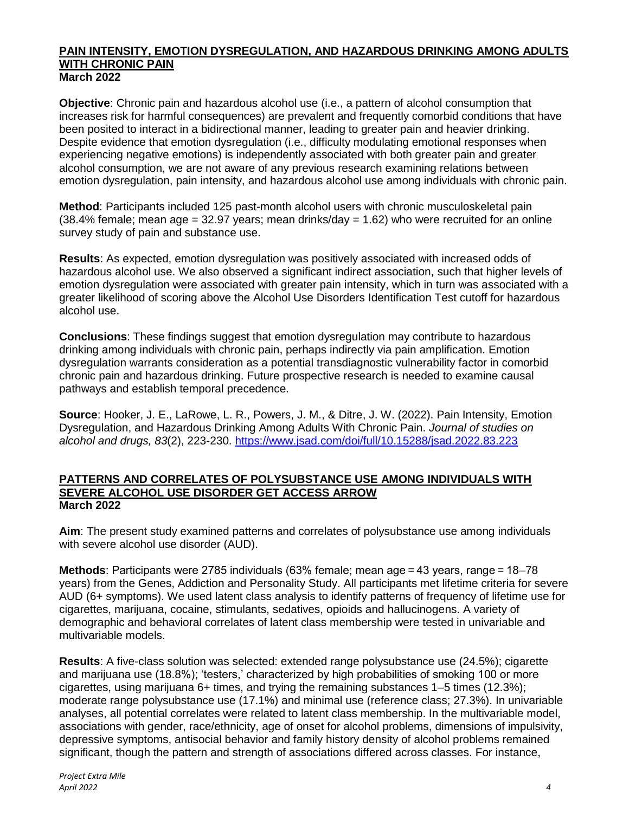# **PAIN INTENSITY, EMOTION DYSREGULATION, AND HAZARDOUS DRINKING AMONG ADULTS WITH CHRONIC PAIN March 2022**

**Objective**: Chronic pain and hazardous alcohol use (i.e., a pattern of alcohol consumption that increases risk for harmful consequences) are prevalent and frequently comorbid conditions that have been posited to interact in a bidirectional manner, leading to greater pain and heavier drinking. Despite evidence that emotion dysregulation (i.e., difficulty modulating emotional responses when experiencing negative emotions) is independently associated with both greater pain and greater alcohol consumption, we are not aware of any previous research examining relations between emotion dysregulation, pain intensity, and hazardous alcohol use among individuals with chronic pain.

**Method**: Participants included 125 past-month alcohol users with chronic musculoskeletal pain  $(38.4\%$  female; mean age = 32.97 years; mean drinks/day = 1.62) who were recruited for an online survey study of pain and substance use.

**Results**: As expected, emotion dysregulation was positively associated with increased odds of hazardous alcohol use. We also observed a significant indirect association, such that higher levels of emotion dysregulation were associated with greater pain intensity, which in turn was associated with a greater likelihood of scoring above the Alcohol Use Disorders Identification Test cutoff for hazardous alcohol use.

**Conclusions**: These findings suggest that emotion dysregulation may contribute to hazardous drinking among individuals with chronic pain, perhaps indirectly via pain amplification. Emotion dysregulation warrants consideration as a potential transdiagnostic vulnerability factor in comorbid chronic pain and hazardous drinking. Future prospective research is needed to examine causal pathways and establish temporal precedence.

**Source**: Hooker, J. E., LaRowe, L. R., Powers, J. M., & Ditre, J. W. (2022). Pain Intensity, Emotion Dysregulation, and Hazardous Drinking Among Adults With Chronic Pain. *Journal of studies on alcohol and drugs, 83*(2), 223-230. <https://www.jsad.com/doi/full/10.15288/jsad.2022.83.223>

# **PATTERNS AND CORRELATES OF POLYSUBSTANCE USE AMONG INDIVIDUALS WITH SEVERE ALCOHOL USE DISORDER GET ACCESS ARROW March 2022**

**Aim**: The present study examined patterns and correlates of polysubstance use among individuals with severe alcohol use disorder (AUD).

**Methods**: Participants were 2785 individuals (63% female; mean age = 43 years, range = 18–78 years) from the Genes, Addiction and Personality Study. All participants met lifetime criteria for severe AUD (6+ symptoms). We used latent class analysis to identify patterns of frequency of lifetime use for cigarettes, marijuana, cocaine, stimulants, sedatives, opioids and hallucinogens. A variety of demographic and behavioral correlates of latent class membership were tested in univariable and multivariable models.

**Results**: A five-class solution was selected: extended range polysubstance use (24.5%); cigarette and marijuana use (18.8%); 'testers,' characterized by high probabilities of smoking 100 or more cigarettes, using marijuana 6+ times, and trying the remaining substances 1–5 times (12.3%); moderate range polysubstance use (17.1%) and minimal use (reference class; 27.3%). In univariable analyses, all potential correlates were related to latent class membership. In the multivariable model, associations with gender, race/ethnicity, age of onset for alcohol problems, dimensions of impulsivity, depressive symptoms, antisocial behavior and family history density of alcohol problems remained significant, though the pattern and strength of associations differed across classes. For instance,